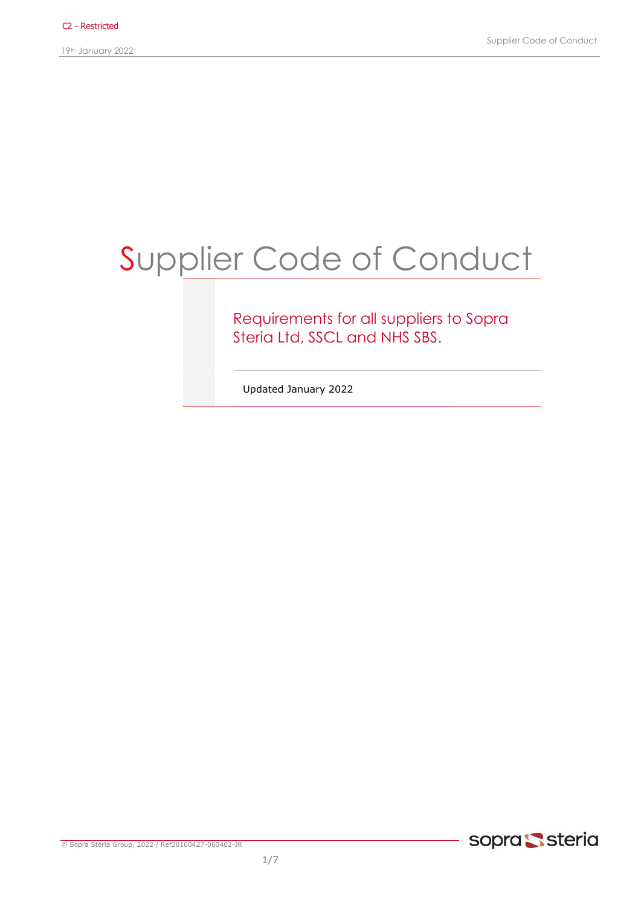19th January 2022

# Supplier Code of Conduct

### Requirements for all suppliers to Sopra Steria Ltd, SSCL and NHS SBS.

Updated January 2022

© Sopra Steria Group, 2022 / Ref20160427-060402-JR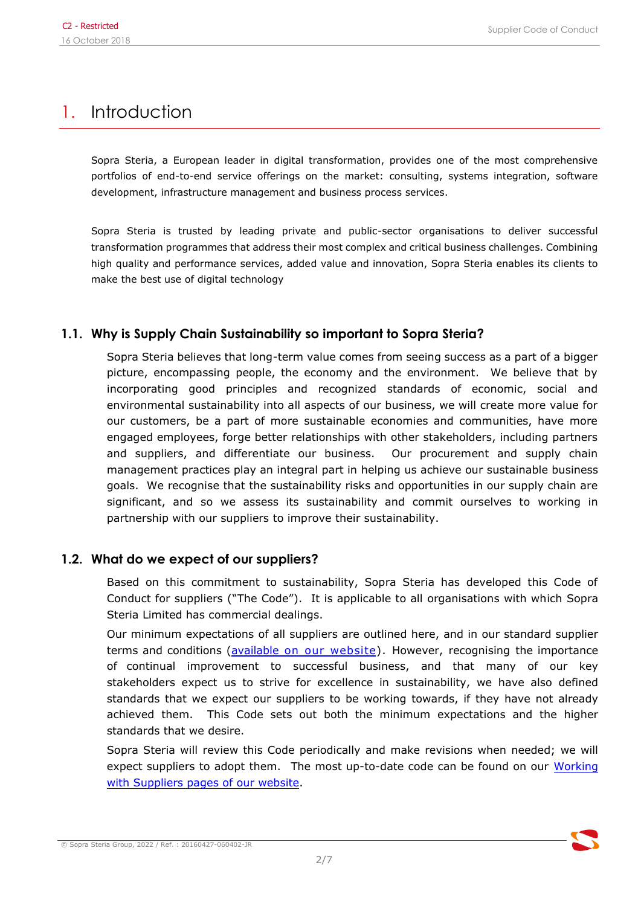# 1. Introduction

Sopra Steria, a European leader in digital transformation, provides one of the most comprehensive portfolios of end-to-end service offerings on the market: consulting, systems integration, software development, infrastructure management and business process services.

Sopra Steria is trusted by leading private and public-sector organisations to deliver successful transformation programmes that address their most complex and critical business challenges. Combining high quality and performance services, added value and innovation, Sopra Steria enables its clients to make the best use of digital technology

### **1.1. Why is Supply Chain Sustainability so important to Sopra Steria?**

Sopra Steria believes that long-term value comes from seeing success as a part of a bigger picture, encompassing people, the economy and the environment. We believe that by incorporating good principles and recognized standards of economic, social and environmental sustainability into all aspects of our business, we will create more value for our customers, be a part of more sustainable economies and communities, have more engaged employees, forge better relationships with other stakeholders, including partners and suppliers, and differentiate our business. Our procurement and supply chain management practices play an integral part in helping us achieve our sustainable business goals. We recognise that the sustainability risks and opportunities in our supply chain are significant, and so we assess its sustainability and commit ourselves to working in partnership with our suppliers to improve their sustainability.

#### **1.2. What do we expect of our suppliers?**

Based on this commitment to sustainability, Sopra Steria has developed this Code of Conduct for suppliers ("The Code"). It is applicable to all organisations with which Sopra Steria Limited has commercial dealings.

Our minimum expectations of all suppliers are outlined here, and in our standard supplier terms and conditions (available [on our website](https://www.soprasteria.co.uk/footer/working-with-suppliers)). However, recognising the importance of continual improvement to successful business, and that many of our key stakeholders expect us to strive for excellence in sustainability, we have also defined standards that we expect our suppliers to be working towards, if they have not already achieved them. This Code sets out both the minimum expectations and the higher standards that we desire.

Sopra Steria will review this Code periodically and make revisions when needed[; we will](https://www.soprasteria.co.uk/about-us/working-with-suppliers)  [expect suppliers to adopt them. The most up-to-date code can be found on our Working](https://www.soprasteria.co.uk/about-us/working-with-suppliers)  with Suppliers pages of our website.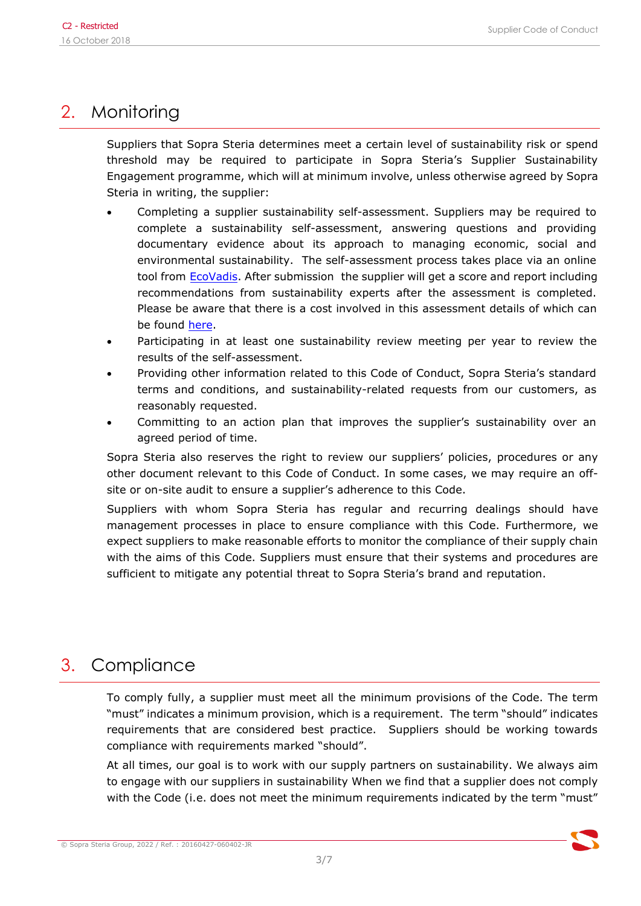# 2. Monitoring

Suppliers that Sopra Steria determines meet a certain level of sustainability risk or spend threshold may be required to participate in Sopra Steria's Supplier Sustainability Engagement programme, which will at minimum involve, unless otherwise agreed by Sopra Steria in writing, the supplier:

- Completing a supplier sustainability self-assessment. Suppliers may be required to complete a sustainability self-assessment, answering questions and providing documentary evidence about its approach to managing economic, social and environmental sustainability. The self-assessment process takes place via an online tool from [EcoVadis.](https://ecovadis.com/) After submission the supplier will get a score and report including recommendations from sustainability experts after the assessment is completed. Please be aware that there is a cost involved in this assessment details of which can be found [here.](https://ecovadis.com/plans-pricing/?from=9)
- Participating in at least one sustainability review meeting per year to review the results of the self-assessment.
- Providing other information related to this Code of Conduct, Sopra Steria's standard terms and conditions, and sustainability-related requests from our customers, as reasonably requested.
- Committing to an action plan that improves the supplier's sustainability over an agreed period of time.

Sopra Steria also reserves the right to review our suppliers' policies, procedures or any other document relevant to this Code of Conduct. In some cases, we may require an offsite or on-site audit to ensure a supplier's adherence to this Code.

Suppliers with whom Sopra Steria has regular and recurring dealings should have management processes in place to ensure compliance with this Code. Furthermore, we expect suppliers to make reasonable efforts to monitor the compliance of their supply chain with the aims of this Code. Suppliers must ensure that their systems and procedures are sufficient to mitigate any potential threat to Sopra Steria's brand and reputation.

# 3. Compliance

To comply fully, a supplier must meet all the minimum provisions of the Code. The term "must" indicates a minimum provision, which is a requirement. The term "should" indicates requirements that are considered best practice. Suppliers should be working towards compliance with requirements marked "should".

At all times, our goal is to work with our supply partners on sustainability. We always aim to engage with our suppliers in sustainability When we find that a supplier does not comply with the Code (i.e. does not meet the minimum requirements indicated by the term "must"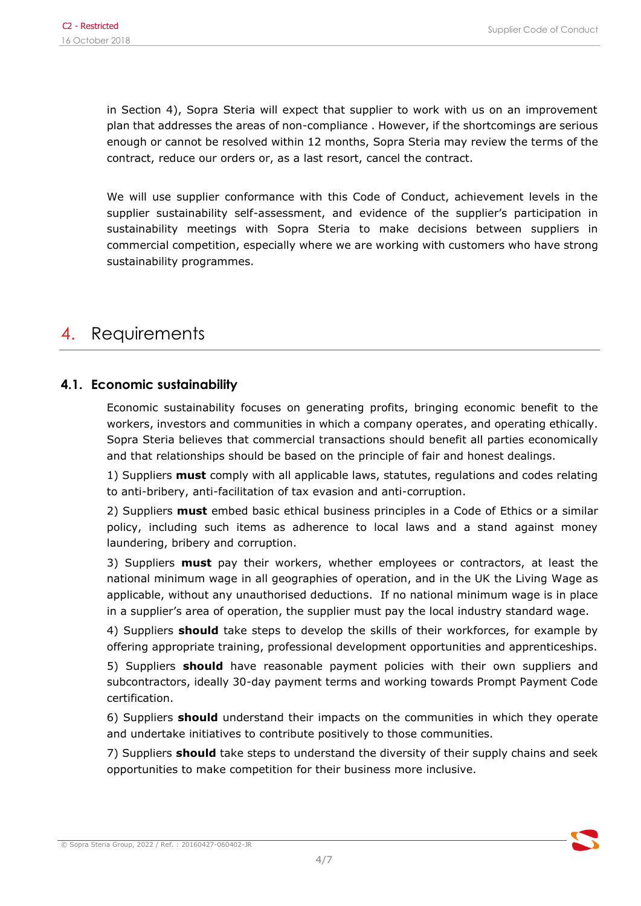in Section 4), Sopra Steria will expect that supplier to work with us on an improvement plan that addresses the areas of non-compliance . However, if the shortcomings are serious enough or cannot be resolved within 12 months, Sopra Steria may review the terms of the contract, reduce our orders or, as a last resort, cancel the contract.

We will use supplier conformance with this Code of Conduct, achievement levels in the supplier sustainability self-assessment, and evidence of the supplier's participation in sustainability meetings with Sopra Steria to make decisions between suppliers in commercial competition, especially where we are working with customers who have strong sustainability programmes.

# 4. Requirements

### **4.1. Economic sustainability**

Economic sustainability focuses on generating profits, bringing economic benefit to the workers, investors and communities in which a company operates, and operating ethically. Sopra Steria believes that commercial transactions should benefit all parties economically and that relationships should be based on the principle of fair and honest dealings.

1) Suppliers **must** comply with all applicable laws, statutes, regulations and codes relating to anti-bribery, anti-facilitation of tax evasion and anti-corruption.

2) Suppliers **must** embed basic ethical business principles in a Code of Ethics or a similar policy, including such items as adherence to local laws and a stand against money laundering, bribery and corruption.

3) Suppliers **must** pay their workers, whether employees or contractors, at least the national minimum wage in all geographies of operation, and in the UK the Living Wage as applicable, without any unauthorised deductions. If no national minimum wage is in place in a supplier's area of operation, the supplier must pay the local industry standard wage.

4) Suppliers **should** take steps to develop the skills of their workforces, for example by offering appropriate training, professional development opportunities and apprenticeships.

5) Suppliers **should** have reasonable payment policies with their own suppliers and subcontractors, ideally 30-day payment terms and working towards Prompt Payment Code certification.

6) Suppliers **should** understand their impacts on the communities in which they operate and undertake initiatives to contribute positively to those communities.

7) Suppliers **should** take steps to understand the diversity of their supply chains and seek opportunities to make competition for their business more inclusive.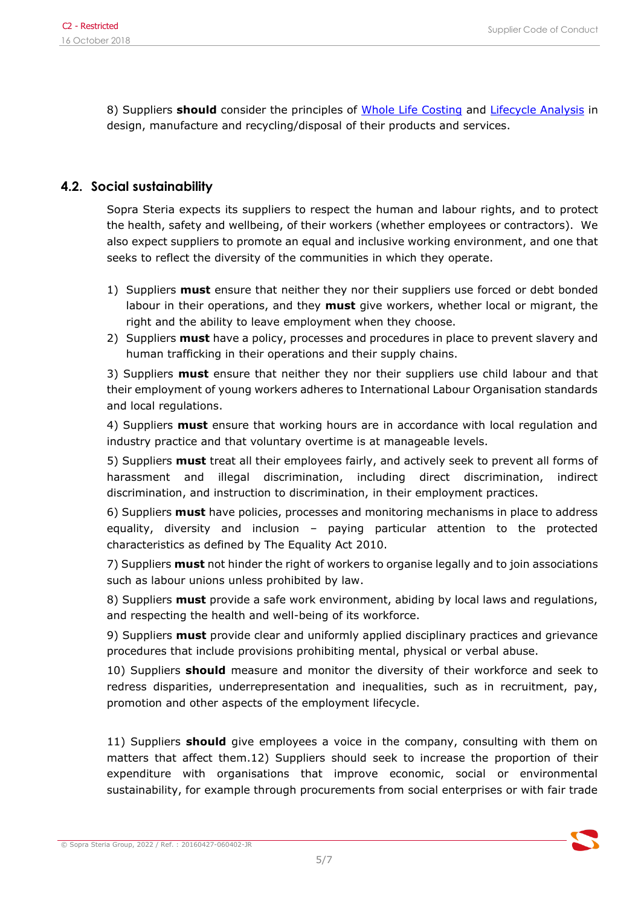8) Suppliers **should** consider the principles of [Whole Life Costing](https://www.cips.org/knowledge/procurement-topics-and-skills/strategy-policy/whole-life-costing/) and [Lifecycle Analysis](http://www.unep.org/resourceefficiency/Consumption/StandardsandLabels/MeasuringSustainability/LifeCycleAssessment/tabid/101348/Default.aspx) in design, manufacture and recycling/disposal of their products and services.

### **4.2. Social sustainability**

Sopra Steria expects its suppliers to respect the human and labour rights, and to protect the health, safety and wellbeing, of their workers (whether employees or contractors). We also expect suppliers to promote an equal and inclusive working environment, and one that seeks to reflect the diversity of the communities in which they operate.

- 1) Suppliers **must** ensure that neither they nor their suppliers use forced or debt bonded labour in their operations, and they **must** give workers, whether local or migrant, the right and the ability to leave employment when they choose.
- 2) Suppliers **must** have a policy, processes and procedures in place to prevent slavery and human trafficking in their operations and their supply chains.

3) Suppliers **must** ensure that neither they nor their suppliers use child labour and that their employment of young workers adheres to International Labour Organisation standards and local regulations.

4) Suppliers **must** ensure that working hours are in accordance with local regulation and industry practice and that voluntary overtime is at manageable levels.

5) Suppliers **must** treat all their employees fairly, and actively seek to prevent all forms of harassment and illegal discrimination, including direct discrimination, indirect discrimination, and instruction to discrimination, in their employment practices.

6) Suppliers **must** have policies, processes and monitoring mechanisms in place to address equality, diversity and inclusion – paying particular attention to the protected characteristics as defined by The Equality Act 2010.

7) Suppliers **must** not hinder the right of workers to organise legally and to join associations such as labour unions unless prohibited by law.

8) Suppliers **must** provide a safe work environment, abiding by local laws and regulations, and respecting the health and well-being of its workforce.

9) Suppliers **must** provide clear and uniformly applied disciplinary practices and grievance procedures that include provisions prohibiting mental, physical or verbal abuse.

10) Suppliers **should** measure and monitor the diversity of their workforce and seek to redress disparities, underrepresentation and inequalities, such as in recruitment, pay, promotion and other aspects of the employment lifecycle.

11) Suppliers **should** give employees a voice in the company, consulting with them on matters that affect them.12) Suppliers should seek to increase the proportion of their expenditure with organisations that improve economic, social or environmental sustainability, for example through procurements from social enterprises or with fair trade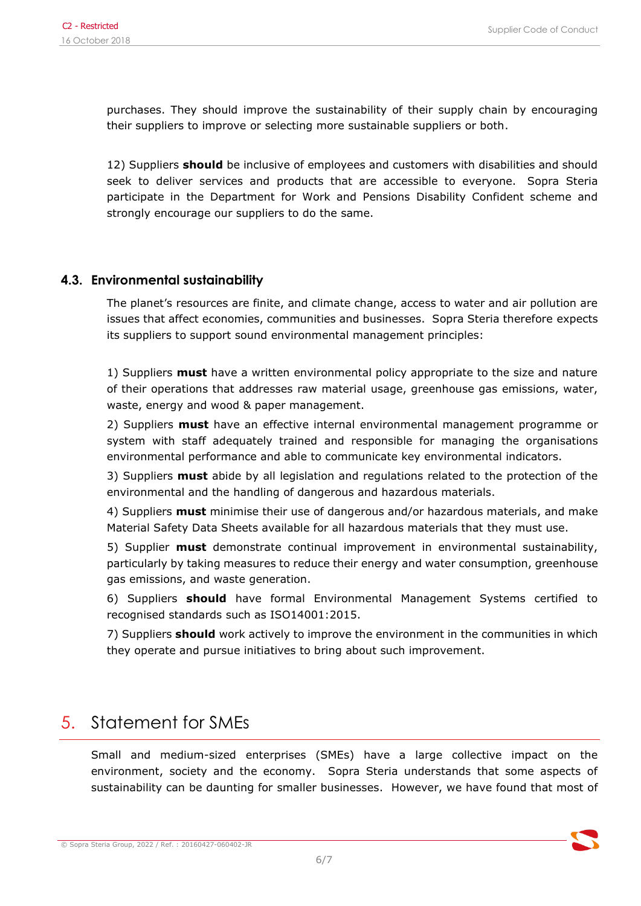purchases. They should improve the sustainability of their supply chain by encouraging their suppliers to improve or selecting more sustainable suppliers or both.

12) Suppliers **should** be inclusive of employees and customers with disabilities and should seek to deliver services and products that are accessible to everyone. Sopra Steria participate in the Department for Work and Pensions Disability Confident scheme and strongly encourage our suppliers to do the same.

#### **4.3. Environmental sustainability**

The planet's resources are finite, and climate change, access to water and air pollution are issues that affect economies, communities and businesses. Sopra Steria therefore expects its suppliers to support sound environmental management principles:

1) Suppliers **must** have a written environmental policy appropriate to the size and nature of their operations that addresses raw material usage, greenhouse gas emissions, water, waste, energy and wood & paper management.

2) Suppliers **must** have an effective internal environmental management programme or system with staff adequately trained and responsible for managing the organisations environmental performance and able to communicate key environmental indicators.

3) Suppliers **must** abide by all legislation and regulations related to the protection of the environmental and the handling of dangerous and hazardous materials.

4) Suppliers **must** minimise their use of dangerous and/or hazardous materials, and make Material Safety Data Sheets available for all hazardous materials that they must use.

5) Supplier **must** demonstrate continual improvement in environmental sustainability, particularly by taking measures to reduce their energy and water consumption, greenhouse gas emissions, and waste generation.

6) Suppliers **should** have formal Environmental Management Systems certified to recognised standards such as ISO14001:2015.

7) Suppliers **should** work actively to improve the environment in the communities in which they operate and pursue initiatives to bring about such improvement.

### 5. Statement for SMEs

Small and medium-sized enterprises (SMEs) have a large collective impact on the environment, society and the economy. Sopra Steria understands that some aspects of sustainability can be daunting for smaller businesses. However, we have found that most of